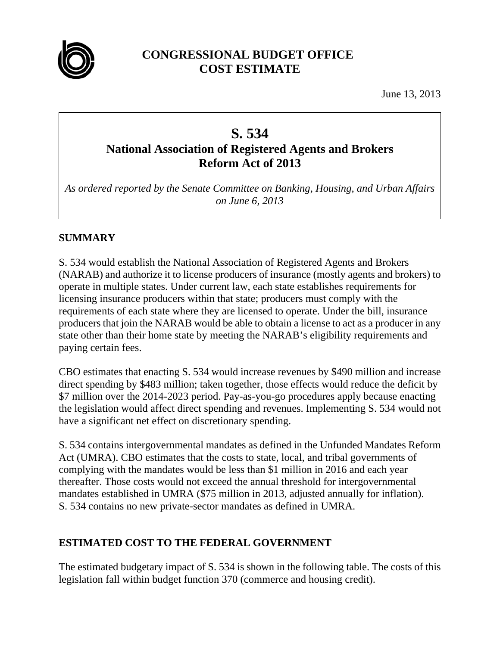

## **CONGRESSIONAL BUDGET OFFICE COST ESTIMATE**

June 13, 2013

# **S. 534 National Association of Registered Agents and Brokers Reform Act of 2013**

*As ordered reported by the Senate Committee on Banking, Housing, and Urban Affairs on June 6, 2013* 

## **SUMMARY**

S. 534 would establish the National Association of Registered Agents and Brokers (NARAB) and authorize it to license producers of insurance (mostly agents and brokers) to operate in multiple states. Under current law, each state establishes requirements for licensing insurance producers within that state; producers must comply with the requirements of each state where they are licensed to operate. Under the bill, insurance producers that join the NARAB would be able to obtain a license to act as a producer in any state other than their home state by meeting the NARAB's eligibility requirements and paying certain fees.

CBO estimates that enacting S. 534 would increase revenues by \$490 million and increase direct spending by \$483 million; taken together, those effects would reduce the deficit by \$7 million over the 2014-2023 period. Pay-as-you-go procedures apply because enacting the legislation would affect direct spending and revenues. Implementing S. 534 would not have a significant net effect on discretionary spending.

S. 534 contains intergovernmental mandates as defined in the Unfunded Mandates Reform Act (UMRA). CBO estimates that the costs to state, local, and tribal governments of complying with the mandates would be less than \$1 million in 2016 and each year thereafter. Those costs would not exceed the annual threshold for intergovernmental mandates established in UMRA (\$75 million in 2013, adjusted annually for inflation). S. 534 contains no new private-sector mandates as defined in UMRA.

## **ESTIMATED COST TO THE FEDERAL GOVERNMENT**

The estimated budgetary impact of S. 534 is shown in the following table. The costs of this legislation fall within budget function 370 (commerce and housing credit).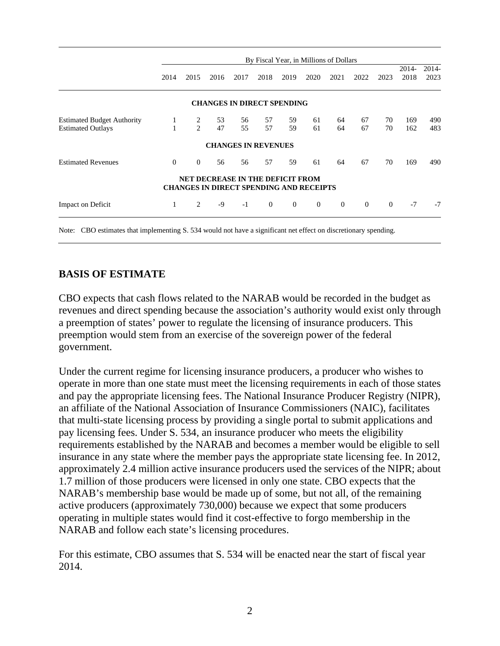|                                   | By Fiscal Year, in Millions of Dollars |               |      |                                                                                    |          |          |          |          |          |          |               |               |
|-----------------------------------|----------------------------------------|---------------|------|------------------------------------------------------------------------------------|----------|----------|----------|----------|----------|----------|---------------|---------------|
|                                   | 2014                                   | 2015          | 2016 | 2017                                                                               | 2018     | 2019     | 2020     | 2021     | 2022     | 2023     | 2014-<br>2018 | 2014-<br>2023 |
|                                   |                                        |               |      | <b>CHANGES IN DIRECT SPENDING</b>                                                  |          |          |          |          |          |          |               |               |
| <b>Estimated Budget Authority</b> | 1                                      | 2             | 53   | 56                                                                                 | 57       | 59       | 61       | 64       | 67       | 70       | 169           | 490           |
| <b>Estimated Outlays</b>          |                                        | $\mathcal{L}$ | 47   | 55                                                                                 | 57       | 59       | 61       | 64       | 67       | 70       | 162           | 483           |
|                                   |                                        |               |      | <b>CHANGES IN REVENUES</b>                                                         |          |          |          |          |          |          |               |               |
| <b>Estimated Revenues</b>         | $\theta$                               | $\theta$      | 56   | 56                                                                                 | 57       | 59       | 61       | 64       | 67       | 70       | 169           | 490           |
|                                   |                                        |               |      | NET DECREASE IN THE DEFICIT FROM<br><b>CHANGES IN DIRECT SPENDING AND RECEIPTS</b> |          |          |          |          |          |          |               |               |
| Impact on Deficit                 | 1                                      | 2             | $-9$ | $-1$                                                                               | $\theta$ | $\Omega$ | $\theta$ | $\Omega$ | $\theta$ | $\theta$ | $-7$          | $-7$          |

Note: CBO estimates that implementing S. 534 would not have a significant net effect on discretionary spending.

#### **BASIS OF ESTIMATE**

CBO expects that cash flows related to the NARAB would be recorded in the budget as revenues and direct spending because the association's authority would exist only through a preemption of states' power to regulate the licensing of insurance producers. This preemption would stem from an exercise of the sovereign power of the federal government.

Under the current regime for licensing insurance producers, a producer who wishes to operate in more than one state must meet the licensing requirements in each of those states and pay the appropriate licensing fees. The National Insurance Producer Registry (NIPR), an affiliate of the National Association of Insurance Commissioners (NAIC), facilitates that multi-state licensing process by providing a single portal to submit applications and pay licensing fees. Under S. 534, an insurance producer who meets the eligibility requirements established by the NARAB and becomes a member would be eligible to sell insurance in any state where the member pays the appropriate state licensing fee. In 2012, approximately 2.4 million active insurance producers used the services of the NIPR; about 1.7 million of those producers were licensed in only one state. CBO expects that the NARAB's membership base would be made up of some, but not all, of the remaining active producers (approximately 730,000) because we expect that some producers operating in multiple states would find it cost-effective to forgo membership in the NARAB and follow each state's licensing procedures.

For this estimate, CBO assumes that S. 534 will be enacted near the start of fiscal year 2014.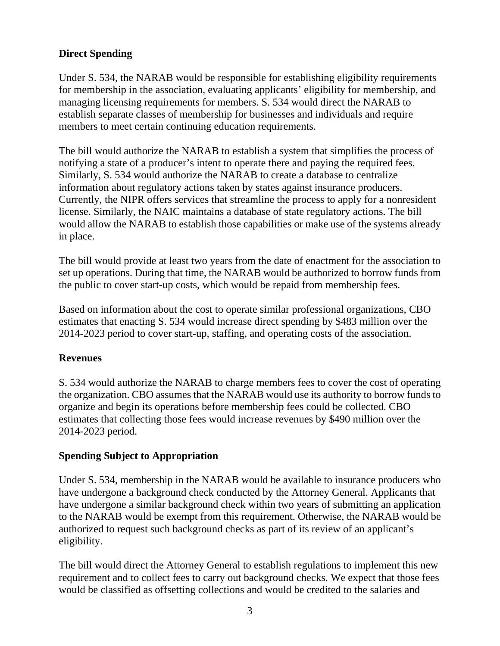## **Direct Spending**

Under S. 534, the NARAB would be responsible for establishing eligibility requirements for membership in the association, evaluating applicants' eligibility for membership*,* and managing licensing requirements for members. S. 534 would direct the NARAB to establish separate classes of membership for businesses and individuals and require members to meet certain continuing education requirements.

The bill would authorize the NARAB to establish a system that simplifies the process of notifying a state of a producer's intent to operate there and paying the required fees. Similarly, S. 534 would authorize the NARAB to create a database to centralize information about regulatory actions taken by states against insurance producers. Currently, the NIPR offers services that streamline the process to apply for a nonresident license. Similarly, the NAIC maintains a database of state regulatory actions. The bill would allow the NARAB to establish those capabilities or make use of the systems already in place.

The bill would provide at least two years from the date of enactment for the association to set up operations. During that time, the NARAB would be authorized to borrow funds from the public to cover start-up costs, which would be repaid from membership fees.

Based on information about the cost to operate similar professional organizations, CBO estimates that enacting S. 534 would increase direct spending by \$483 million over the 2014-2023 period to cover start-up, staffing, and operating costs of the association.

## **Revenues**

S. 534 would authorize the NARAB to charge members fees to cover the cost of operating the organization. CBO assumes that the NARAB would use its authority to borrow funds to organize and begin its operations before membership fees could be collected. CBO estimates that collecting those fees would increase revenues by \$490 million over the 2014-2023 period.

#### **Spending Subject to Appropriation**

Under S. 534, membership in the NARAB would be available to insurance producers who have undergone a background check conducted by the Attorney General. Applicants that have undergone a similar background check within two years of submitting an application to the NARAB would be exempt from this requirement. Otherwise, the NARAB would be authorized to request such background checks as part of its review of an applicant's eligibility.

The bill would direct the Attorney General to establish regulations to implement this new requirement and to collect fees to carry out background checks. We expect that those fees would be classified as offsetting collections and would be credited to the salaries and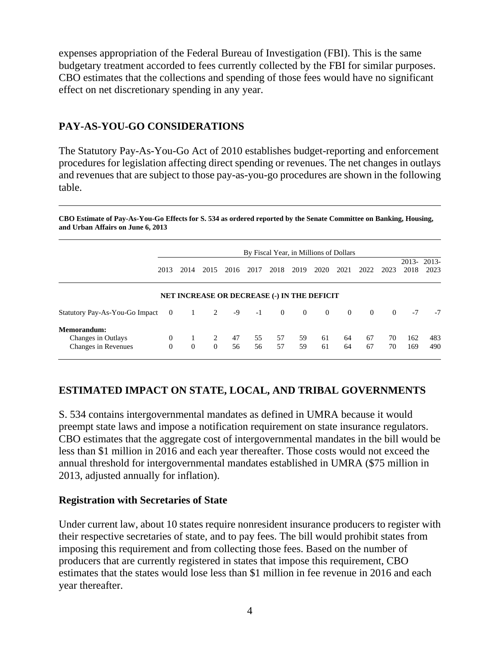expenses appropriation of the Federal Bureau of Investigation (FBI). This is the same budgetary treatment accorded to fees currently collected by the FBI for similar purposes. CBO estimates that the collections and spending of those fees would have no significant effect on net discretionary spending in any year.

#### **PAY-AS-YOU-GO CONSIDERATIONS**

The Statutory Pay-As-You-Go Act of 2010 establishes budget-reporting and enforcement procedures for legislation affecting direct spending or revenues. The net changes in outlays and revenues that are subject to those pay-as-you-go procedures are shown in the following table.

**CBO Estimate of Pay-As-You-Go Effects for S. 534 as ordered reported by the Senate Committee on Banking, Housing, and Urban Affairs on June 6, 2013** 

|                                                          | By Fiscal Year, in Millions of Dollars |               |                     |          |          |                                                    |                |                |                |          |          |            |                    |
|----------------------------------------------------------|----------------------------------------|---------------|---------------------|----------|----------|----------------------------------------------------|----------------|----------------|----------------|----------|----------|------------|--------------------|
|                                                          | 2013                                   | 2014          | 2015                | 2016     | 2017     | 2018                                               | 2019           | 2020           | 2021           | 2022     | 2023     | 2018       | 2013-2013-<br>2023 |
|                                                          |                                        |               |                     |          |          | <b>NET INCREASE OR DECREASE (-) IN THE DEFICIT</b> |                |                |                |          |          |            |                    |
| Statutory Pay-As-You-Go Impact                           | $\overline{0}$                         | 1             | 2                   | -9       | $-1$     | $\overline{0}$                                     | $\overline{0}$ | $\overline{0}$ | $\overline{0}$ | $\theta$ | $\theta$ | $-7$       | $-7$               |
| Memorandum:<br>Changes in Outlays<br>Changes in Revenues | $\theta$<br>$\Omega$                   | 1<br>$\theta$ | 2<br>$\overline{0}$ | 47<br>56 | 55<br>56 | 57<br>57                                           | 59<br>59       | 61<br>61       | 64<br>64       | 67<br>67 | 70<br>70 | 162<br>169 | 483<br>490         |

## **ESTIMATED IMPACT ON STATE, LOCAL, AND TRIBAL GOVERNMENTS**

S. 534 contains intergovernmental mandates as defined in UMRA because it would preempt state laws and impose a notification requirement on state insurance regulators. CBO estimates that the aggregate cost of intergovernmental mandates in the bill would be less than \$1 million in 2016 and each year thereafter. Those costs would not exceed the annual threshold for intergovernmental mandates established in UMRA (\$75 million in 2013, adjusted annually for inflation).

#### **Registration with Secretaries of State**

Under current law, about 10 states require nonresident insurance producers to register with their respective secretaries of state, and to pay fees. The bill would prohibit states from imposing this requirement and from collecting those fees. Based on the number of producers that are currently registered in states that impose this requirement, CBO estimates that the states would lose less than \$1 million in fee revenue in 2016 and each year thereafter.